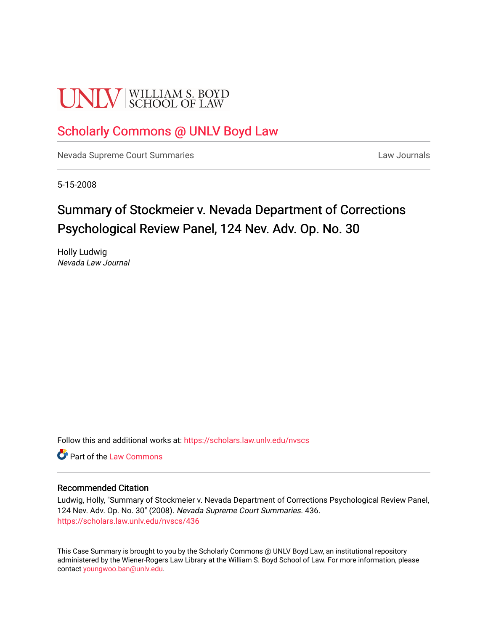# **UNLV** SCHOOL OF LAW

## [Scholarly Commons @ UNLV Boyd Law](https://scholars.law.unlv.edu/)

[Nevada Supreme Court Summaries](https://scholars.law.unlv.edu/nvscs) **Law Journals** Law Journals

5-15-2008

# Summary of Stockmeier v. Nevada Department of Corrections Psychological Review Panel, 124 Nev. Adv. Op. No. 30

Holly Ludwig Nevada Law Journal

Follow this and additional works at: [https://scholars.law.unlv.edu/nvscs](https://scholars.law.unlv.edu/nvscs?utm_source=scholars.law.unlv.edu%2Fnvscs%2F436&utm_medium=PDF&utm_campaign=PDFCoverPages)

**C** Part of the [Law Commons](http://network.bepress.com/hgg/discipline/578?utm_source=scholars.law.unlv.edu%2Fnvscs%2F436&utm_medium=PDF&utm_campaign=PDFCoverPages)

#### Recommended Citation

Ludwig, Holly, "Summary of Stockmeier v. Nevada Department of Corrections Psychological Review Panel, 124 Nev. Adv. Op. No. 30" (2008). Nevada Supreme Court Summaries. 436. [https://scholars.law.unlv.edu/nvscs/436](https://scholars.law.unlv.edu/nvscs/436?utm_source=scholars.law.unlv.edu%2Fnvscs%2F436&utm_medium=PDF&utm_campaign=PDFCoverPages)

This Case Summary is brought to you by the Scholarly Commons @ UNLV Boyd Law, an institutional repository administered by the Wiener-Rogers Law Library at the William S. Boyd School of Law. For more information, please contact [youngwoo.ban@unlv.edu](mailto:youngwoo.ban@unlv.edu).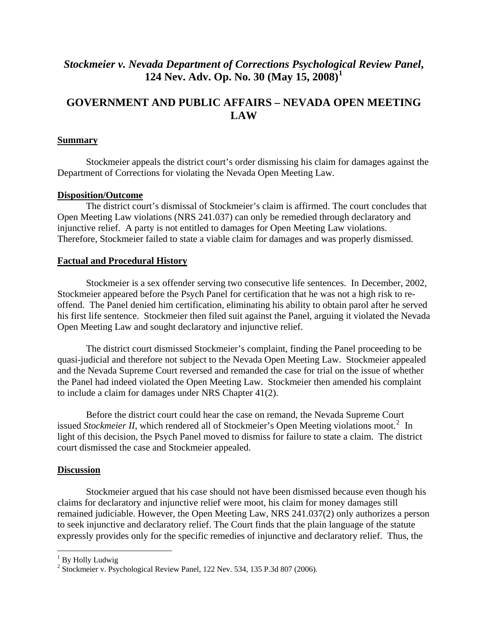## *Stockmeier v. Nevada Department of Corrections Psychological Review Panel***, 124 Nev. Adv. Op. No. 30 (May 15, 2008)[1](#page-1-0)**

## **GOVERNMENT AND PUBLIC AFFAIRS – NEVADA OPEN MEETING LAW**

#### **Summary**

 Stockmeier appeals the district court's order dismissing his claim for damages against the Department of Corrections for violating the Nevada Open Meeting Law.

#### **Disposition/Outcome**

 The district court's dismissal of Stockmeier's claim is affirmed. The court concludes that Open Meeting Law violations (NRS 241.037) can only be remedied through declaratory and injunctive relief. A party is not entitled to damages for Open Meeting Law violations. Therefore, Stockmeier failed to state a viable claim for damages and was properly dismissed.

#### **Factual and Procedural History**

 Stockmeier is a sex offender serving two consecutive life sentences. In December, 2002, Stockmeier appeared before the Psych Panel for certification that he was not a high risk to reoffend. The Panel denied him certification, eliminating his ability to obtain parol after he served his first life sentence. Stockmeier then filed suit against the Panel, arguing it violated the Nevada Open Meeting Law and sought declaratory and injunctive relief.

 The district court dismissed Stockmeier's complaint, finding the Panel proceeding to be quasi-judicial and therefore not subject to the Nevada Open Meeting Law. Stockmeier appealed and the Nevada Supreme Court reversed and remanded the case for trial on the issue of whether the Panel had indeed violated the Open Meeting Law. Stockmeier then amended his complaint to include a claim for damages under NRS Chapter 41(2).

 Before the district court could hear the case on remand, the Nevada Supreme Court issued *Stockmeier II*, which rendered all of Stockmeier's Open Meeting violations moot.<sup>[2](#page-1-1)</sup> In light of this decision, the Psych Panel moved to dismiss for failure to state a claim. The district court dismissed the case and Stockmeier appealed.

#### **Discussion**

 Stockmeier argued that his case should not have been dismissed because even though his claims for declaratory and injunctive relief were moot, his claim for money damages still remained judiciable. However, the Open Meeting Law, NRS 241.037(2) only authorizes a person to seek injunctive and declaratory relief. The Court finds that the plain language of the statute expressly provides only for the specific remedies of injunctive and declaratory relief. Thus, the

 $\overline{a}$ 

<span id="page-1-0"></span><sup>&</sup>lt;sup>1</sup> By Holly Ludwig

<span id="page-1-1"></span><sup>&</sup>lt;sup>2</sup> Stockmeier v. Psychological Review Panel, 122 Nev. 534, 135 P.3d 807 (2006).